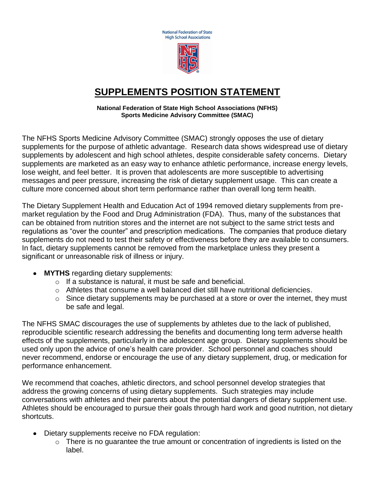**National Federation of State High School Associations** 



## **SUPPLEMENTS POSITION STATEMENT**

**National Federation of State High School Associations (NFHS) Sports Medicine Advisory Committee (SMAC)**

The NFHS Sports Medicine Advisory Committee (SMAC) strongly opposes the use of dietary supplements for the purpose of athletic advantage. Research data shows widespread use of dietary supplements by adolescent and high school athletes, despite considerable safety concerns. Dietary supplements are marketed as an easy way to enhance athletic performance, increase energy levels, lose weight, and feel better. It is proven that adolescents are more susceptible to advertising messages and peer pressure, increasing the risk of dietary supplement usage. This can create a culture more concerned about short term performance rather than overall long term health.

The Dietary Supplement Health and Education Act of 1994 removed dietary supplements from premarket regulation by the Food and Drug Administration (FDA). Thus, many of the substances that can be obtained from nutrition stores and the internet are not subject to the same strict tests and regulations as "over the counter" and prescription medications. The companies that produce dietary supplements do not need to test their safety or effectiveness before they are available to consumers. In fact, dietary supplements cannot be removed from the marketplace unless they present a significant or unreasonable risk of illness or injury.

- **MYTHS** regarding dietary supplements:
	- o If a substance is natural, it must be safe and beneficial.
	- $\circ$  Athletes that consume a well balanced diet still have nutritional deficiencies.
	- $\circ$  Since dietary supplements may be purchased at a store or over the internet, they must be safe and legal.

The NFHS SMAC discourages the use of supplements by athletes due to the lack of published, reproducible scientific research addressing the benefits and documenting long term adverse health effects of the supplements, particularly in the adolescent age group. Dietary supplements should be used only upon the advice of one's health care provider. School personnel and coaches should never recommend, endorse or encourage the use of any dietary supplement, drug, or medication for performance enhancement.

We recommend that coaches, athletic directors, and school personnel develop strategies that address the growing concerns of using dietary supplements. Such strategies may include conversations with athletes and their parents about the potential dangers of dietary supplement use. Athletes should be encouraged to pursue their goals through hard work and good nutrition, not dietary shortcuts.

- Dietary supplements receive no FDA regulation:
	- o There is no guarantee the true amount or concentration of ingredients is listed on the label.